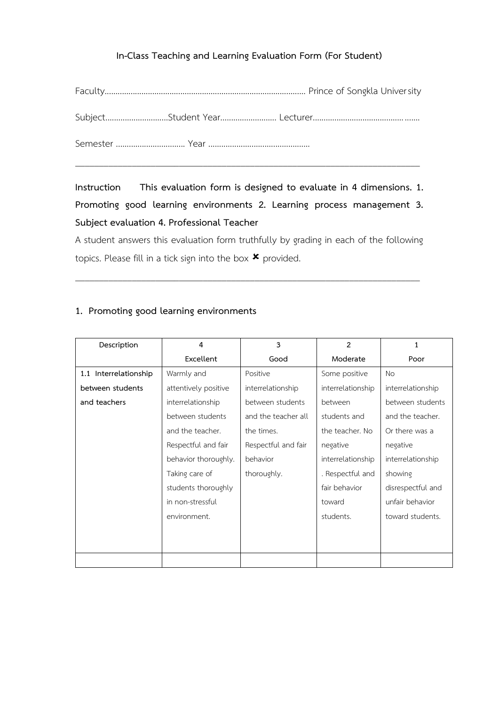### **In-Class Teaching and Learning Evaluation Form (For Student)**

**Instruction This evaluation form is designed to evaluate in 4 dimensions. 1. Promoting good learning environments 2. Learning process management 3. Subject evaluation 4. Professional Teacher** 

A student answers this evaluation form truthfully by grading in each of the following topics. Please fill in a tick sign into the box  $\boldsymbol{\ast}$  provided.

\_\_\_\_\_\_\_\_\_\_\_\_\_\_\_\_\_\_\_\_\_\_\_\_\_\_\_\_\_\_\_\_\_\_\_\_\_\_\_\_\_\_\_\_\_\_\_\_\_\_\_\_\_\_\_\_\_\_\_\_\_\_\_\_\_\_\_\_\_\_\_\_\_

### **1. Promoting good learning environments**

| Description           | 4                    | 3                   | $\overline{2}$    | 1                 |
|-----------------------|----------------------|---------------------|-------------------|-------------------|
|                       | <b>Excellent</b>     | Good                | Moderate          | Poor              |
| 1.1 Interrelationship | Warmly and           | Positive            | Some positive     | <b>No</b>         |
| between students      | attentively positive | interrelationship   | interrelationship | interrelationship |
| and teachers          | interrelationship    | between students    | between           | between students  |
|                       | between students     | and the teacher all | students and      | and the teacher.  |
|                       | and the teacher.     | the times.          | the teacher. No   | Or there was a    |
|                       | Respectful and fair  | Respectful and fair | negative          | negative          |
|                       | behavior thoroughly. | behavior            | interrelationship | interrelationship |
|                       | Taking care of       | thoroughly.         | . Respectful and  | showing           |
|                       | students thoroughly  |                     | fair behavior     | disrespectful and |
|                       | in non-stressful     |                     | toward            | unfair behavior   |
|                       | environment.         |                     | students.         | toward students.  |
|                       |                      |                     |                   |                   |
|                       |                      |                     |                   |                   |
|                       |                      |                     |                   |                   |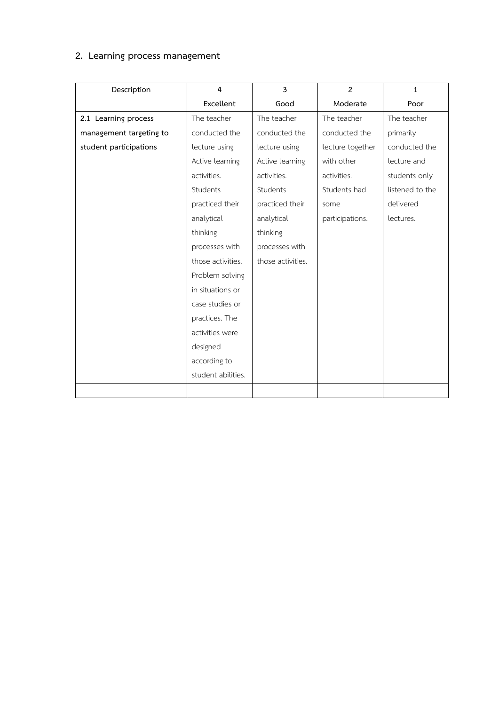# **2. Learning process management**

| Description             | 4                  | $\overline{3}$    | $\overline{2}$   | $\mathbf{1}$    |
|-------------------------|--------------------|-------------------|------------------|-----------------|
|                         | Excellent          | Good              | Moderate         | Poor            |
| 2.1 Learning process    | The teacher        | The teacher       | The teacher      | The teacher     |
| management targeting to | conducted the      | conducted the     | conducted the    | primarily       |
| student participations  | lecture using      | lecture using     | lecture together | conducted the   |
|                         | Active learning    | Active learning   | with other       | lecture and     |
|                         | activities.        | activities.       | activities.      | students only   |
|                         | Students           | Students          | Students had     | listened to the |
|                         | practiced their    | practiced their   | some             | delivered       |
|                         | analytical         | analytical        | participations.  | lectures.       |
|                         | thinking           | thinking          |                  |                 |
|                         | processes with     | processes with    |                  |                 |
|                         | those activities.  | those activities. |                  |                 |
|                         | Problem solving    |                   |                  |                 |
|                         | in situations or   |                   |                  |                 |
|                         | case studies or    |                   |                  |                 |
|                         | practices. The     |                   |                  |                 |
|                         | activities were    |                   |                  |                 |
|                         | designed           |                   |                  |                 |
|                         | according to       |                   |                  |                 |
|                         | student abilities. |                   |                  |                 |
|                         |                    |                   |                  |                 |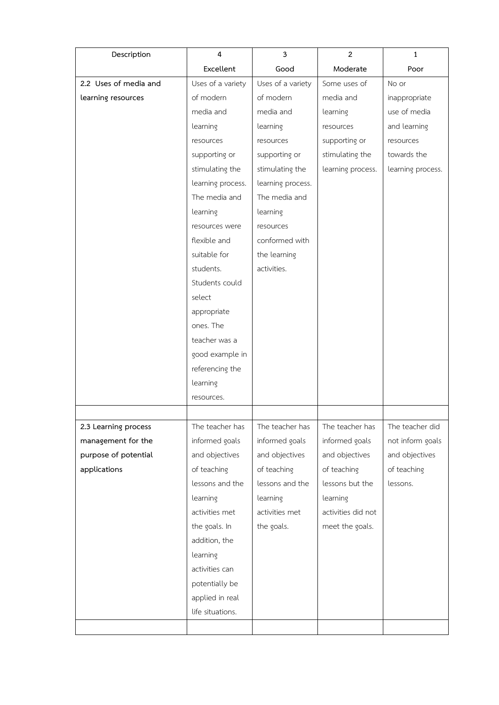| Description           | $\overline{4}$    | 3                 | $\overline{2}$     | $\mathbf{1}$      |
|-----------------------|-------------------|-------------------|--------------------|-------------------|
|                       | Excellent         | Good              | Moderate           | Poor              |
| 2.2 Uses of media and | Uses of a variety | Uses of a variety | Some uses of       | No or             |
| learning resources    | of modern         | of modern         | media and          | inappropriate     |
|                       | media and         | media and         | learning           | use of media      |
|                       | learning          | learning          | resources          | and learning      |
|                       | resources         | resources         | supporting or      | resources         |
|                       | supporting or     | supporting or     | stimulating the    | towards the       |
|                       | stimulating the   | stimulating the   | learning process.  | learning process. |
|                       | learning process. | learning process. |                    |                   |
|                       | The media and     | The media and     |                    |                   |
|                       | learning          | learning          |                    |                   |
|                       | resources were    | resources         |                    |                   |
|                       | flexible and      | conformed with    |                    |                   |
|                       | suitable for      | the learning      |                    |                   |
|                       | students.         | activities.       |                    |                   |
|                       | Students could    |                   |                    |                   |
|                       | select            |                   |                    |                   |
|                       | appropriate       |                   |                    |                   |
|                       | ones. The         |                   |                    |                   |
|                       | teacher was a     |                   |                    |                   |
|                       | good example in   |                   |                    |                   |
|                       | referencing the   |                   |                    |                   |
|                       | learning          |                   |                    |                   |
|                       | resources.        |                   |                    |                   |
|                       |                   |                   |                    |                   |
| 2.3 Learning process  | The teacher has   | The teacher has   | The teacher has    | The teacher did   |
| management for the    | informed goals    | informed goals    | informed goals     | not inform goals  |
| purpose of potential  | and objectives    | and objectives    | and objectives     | and objectives    |
| applications          | of teaching       | of teaching       | of teaching        | of teaching       |
|                       | lessons and the   | lessons and the   | lessons but the    | lessons.          |
|                       | learning          | learning          | learning           |                   |
|                       | activities met    | activities met    | activities did not |                   |
|                       | the goals. In     | the goals.        | meet the goals.    |                   |
|                       | addition, the     |                   |                    |                   |
|                       | learning          |                   |                    |                   |
|                       | activities can    |                   |                    |                   |
|                       | potentially be    |                   |                    |                   |
|                       | applied in real   |                   |                    |                   |
|                       | life situations.  |                   |                    |                   |
|                       |                   |                   |                    |                   |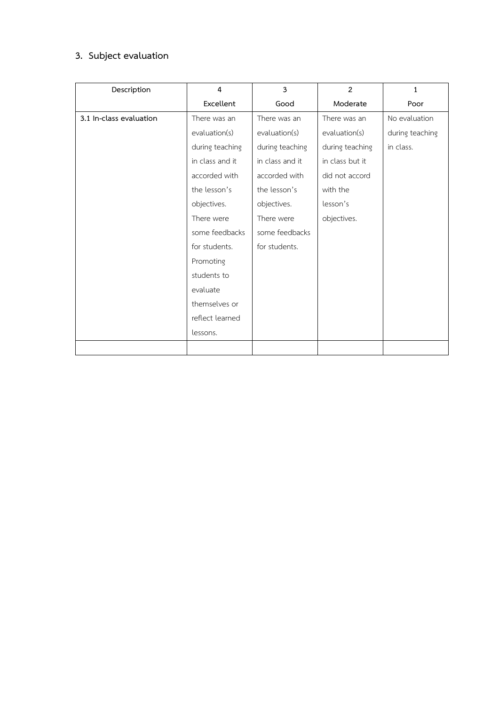## **3. Subject evaluation**

| Description             | 4               | 3               | $\overline{2}$  | $\mathbf{1}$    |
|-------------------------|-----------------|-----------------|-----------------|-----------------|
|                         | Excellent       | Good            | Moderate        | Poor            |
| 3.1 In-class evaluation | There was an    | There was an    | There was an    | No evaluation   |
|                         | evaluation(s)   | evaluation(s)   | evaluation(s)   | during teaching |
|                         | during teaching | during teaching | during teaching | in class.       |
|                         | in class and it | in class and it | in class but it |                 |
|                         | accorded with   | accorded with   | did not accord  |                 |
|                         | the lesson's    | the lesson's    | with the        |                 |
|                         | objectives.     | objectives.     | lesson's        |                 |
|                         | There were      | There were      | objectives.     |                 |
|                         | some feedbacks  | some feedbacks  |                 |                 |
|                         | for students.   | for students.   |                 |                 |
|                         | Promoting       |                 |                 |                 |
|                         | students to     |                 |                 |                 |
|                         | evaluate        |                 |                 |                 |
|                         | themselves or   |                 |                 |                 |
|                         | reflect learned |                 |                 |                 |
|                         | lessons.        |                 |                 |                 |
|                         |                 |                 |                 |                 |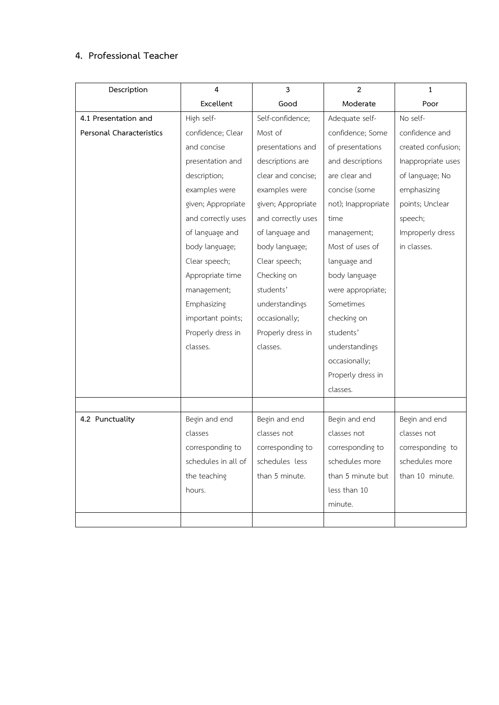### **4. Professional Teacher**

| Description              | 4                   | $\overline{\mathbf{3}}$ | $\overline{2}$      | $\mathbf{1}$       |
|--------------------------|---------------------|-------------------------|---------------------|--------------------|
|                          | Excellent           | Good                    | Moderate            | Poor               |
| 4.1 Presentation and     | High self-          | Self-confidence;        | Adequate self-      | No self-           |
| Personal Characteristics | confidence; Clear   | Most of                 | confidence; Some    | confidence and     |
|                          | and concise         | presentations and       | of presentations    | created confusion; |
|                          | presentation and    | descriptions are        | and descriptions    | Inappropriate uses |
|                          | description;        | clear and concise;      | are clear and       | of language; No    |
|                          | examples were       | examples were           | concise (some       | emphasizing        |
|                          | given; Appropriate  | given; Appropriate      | not); Inappropriate | points; Unclear    |
|                          | and correctly uses  | and correctly uses      | time                | speech;            |
|                          | of language and     | of language and         | management;         | Improperly dress   |
|                          | body language;      | body language;          | Most of uses of     | in classes.        |
|                          | Clear speech;       | Clear speech;           | language and        |                    |
|                          | Appropriate time    | Checking on             | body language       |                    |
|                          | management;         | students'               | were appropriate;   |                    |
|                          | Emphasizing         | understandings          | Sometimes           |                    |
|                          | important points;   | occasionally;           | checking on         |                    |
|                          | Properly dress in   | Properly dress in       | students'           |                    |
|                          | classes.            | classes.                | understandings      |                    |
|                          |                     |                         | occasionally;       |                    |
|                          |                     |                         | Properly dress in   |                    |
|                          |                     |                         | classes.            |                    |
|                          |                     |                         |                     |                    |
| 4.2 Punctuality          | Begin and end       | Begin and end           | Begin and end       | Begin and end      |
|                          | classes             | classes not             | classes not         | classes not        |
|                          | corresponding to    | corresponding to        | corresponding to    | corresponding to   |
|                          | schedules in all of | schedules less          | schedules more      | schedules more     |
|                          | the teaching        | than 5 minute.          | than 5 minute but   | than 10 minute.    |
|                          | hours.              |                         | less than 10        |                    |
|                          |                     |                         | minute.             |                    |
|                          |                     |                         |                     |                    |